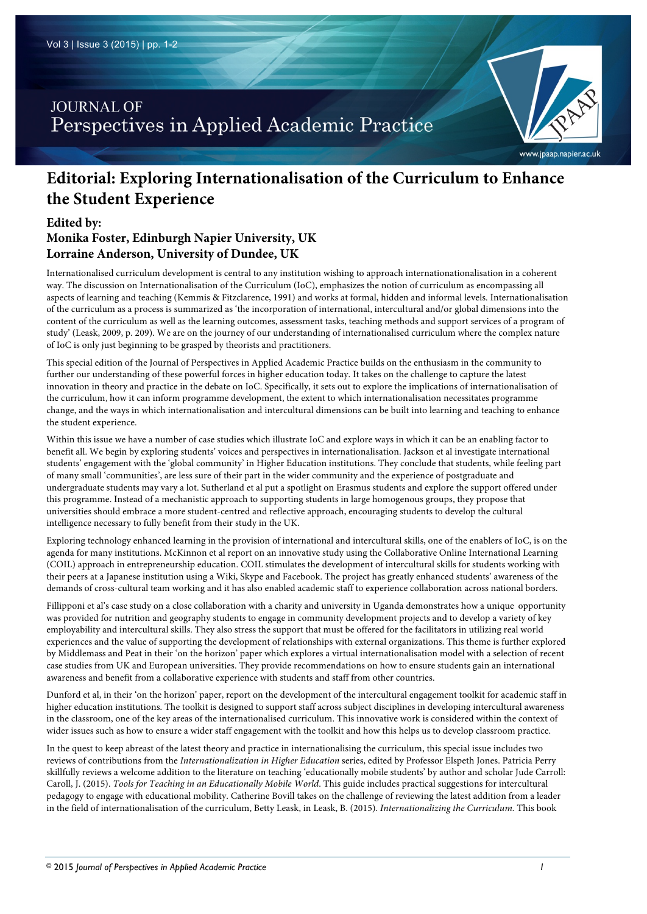## **JOURNAL OF** Perspectives in Applied Academic Practice

# **Editorial: Exploring Internationalisation of the Curriculum to Enhance the Student Experience**

### **Edited by:**

## **Monika Foster, Edinburgh Napier University, UK Lorraine Anderson, University of Dundee, UK**

Internationalised curriculum development is central to any institution wishing to approach internationationalisation in a coherent way. The discussion on Internationalisation of the Curriculum (IoC), emphasizes the notion of curriculum as encompassing all aspects of learning and teaching (Kemmis & Fitzclarence, 1991) and works at formal, hidden and informal levels. Internationalisation of the curriculum as a process is summarized as 'the incorporation of international, intercultural and/or global dimensions into the content of the curriculum as well as the learning outcomes, assessment tasks, teaching methods and support services of a program of study' (Leask, 2009, p. 209). We are on the journey of our understanding of internationalised curriculum where the complex nature of IoC is only just beginning to be grasped by theorists and practitioners.

This special edition of the Journal of Perspectives in Applied Academic Practice builds on the enthusiasm in the community to further our understanding of these powerful forces in higher education today. It takes on the challenge to capture the latest innovation in theory and practice in the debate on IoC. Specifically, it sets out to explore the implications of internationalisation of the curriculum, how it can inform programme development, the extent to which internationalisation necessitates programme change, and the ways in which internationalisation and intercultural dimensions can be built into learning and teaching to enhance the student experience.

Within this issue we have a number of case studies which illustrate IoC and explore ways in which it can be an enabling factor to benefit all. We begin by exploring students' voices and perspectives in internationalisation. Jackson et al investigate international students' engagement with the 'global community' in Higher Education institutions. They conclude that students, while feeling part of many small 'communities', are less sure of their part in the wider community and the experience of postgraduate and undergraduate students may vary a lot. Sutherland et al put a spotlight on Erasmus students and explore the support offered under this programme. Instead of a mechanistic approach to supporting students in large homogenous groups, they propose that universities should embrace a more student-centred and reflective approach, encouraging students to develop the cultural intelligence necessary to fully benefit from their study in the UK.

Exploring technology enhanced learning in the provision of international and intercultural skills, one of the enablers of IoC, is on the agenda for many institutions. McKinnon et al report on an innovative study using the Collaborative Online International Learning (COIL) approach in entrepreneurship education. COIL stimulates the development of intercultural skills for students working with their peers at a Japanese institution using a Wiki, Skype and Facebook. The project has greatly enhanced students' awareness of the demands of cross-cultural team working and it has also enabled academic staff to experience collaboration across national borders.

Fillipponi et al's case study on a close collaboration with a charity and university in Uganda demonstrates how a unique opportunity was provided for nutrition and geography students to engage in community development projects and to develop a variety of key employability and intercultural skills. They also stress the support that must be offered for the facilitators in utilizing real world experiences and the value of supporting the development of relationships with external organizations. This theme is further explored by Middlemass and Peat in their 'on the horizon' paper which explores a virtual internationalisation model with a selection of recent case studies from UK and European universities. They provide recommendations on how to ensure students gain an international awareness and benefit from a collaborative experience with students and staff from other countries.

Dunford et al, in their 'on the horizon' paper, report on the development of the intercultural engagement toolkit for academic staff in higher education institutions. The toolkit is designed to support staff across subject disciplines in developing intercultural awareness in the classroom, one of the key areas of the internationalised curriculum. This innovative work is considered within the context of wider issues such as how to ensure a wider staff engagement with the toolkit and how this helps us to develop classroom practice.

In the quest to keep abreast of the latest theory and practice in internationalising the curriculum, this special issue includes two reviews of contributions from the *Internationalization in Higher Education* series, edited by Professor Elspeth Jones. Patricia Perry skillfully reviews a welcome addition to the literature on teaching 'educationally mobile students' by author and scholar Jude Carroll: Caroll, J. (2015). *Tools for Teaching in an Educationally Mobile World*. This guide includes practical suggestions for intercultural pedagogy to engage with educational mobility. Catherine Bovill takes on the challenge of reviewing the latest addition from a leader in the field of internationalisation of the curriculum, Betty Leask, in Leask, B. (2015). *Internationalizing the Curriculum.* This book

www.jpaap.napier.ac.uk